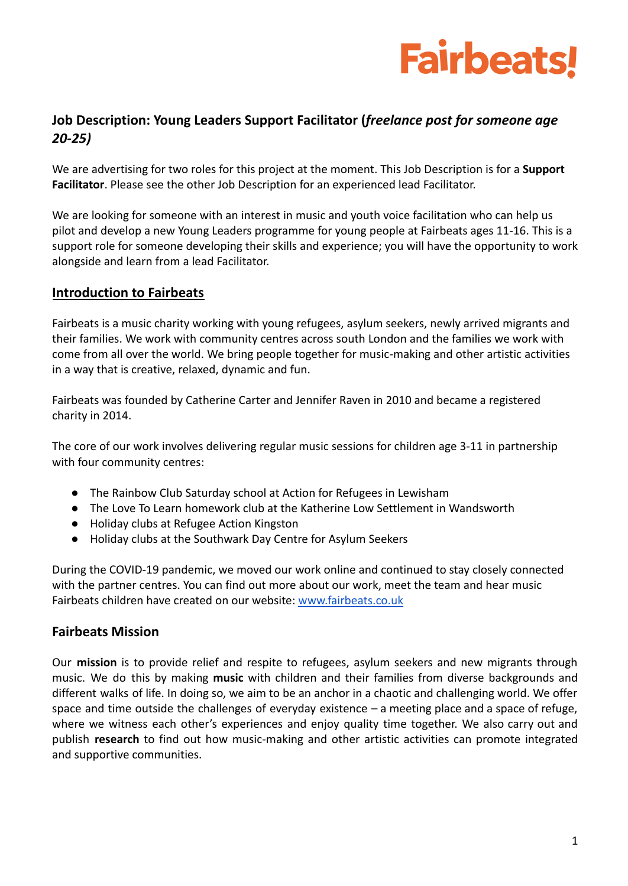

### **Job Description: Young Leaders Support Facilitator (***freelance post for someone age 20-25)*

We are advertising for two roles for this project at the moment. This Job Description is for a **Support Facilitator**. Please see the other Job Description for an experienced lead Facilitator.

We are looking for someone with an interest in music and youth voice facilitation who can help us pilot and develop a new Young Leaders programme for young people at Fairbeats ages 11-16. This is a support role for someone developing their skills and experience; you will have the opportunity to work alongside and learn from a lead Facilitator.

#### **Introduction to Fairbeats**

Fairbeats is a music charity working with young refugees, asylum seekers, newly arrived migrants and their families. We work with community centres across south London and the families we work with come from all over the world. We bring people together for music-making and other artistic activities in a way that is creative, relaxed, dynamic and fun.

Fairbeats was founded by Catherine Carter and Jennifer Raven in 2010 and became a registered charity in 2014.

The core of our work involves delivering regular music sessions for children age 3-11 in partnership with four community centres:

- The Rainbow Club Saturday school at Action for Refugees in Lewisham
- The Love To Learn homework club at the Katherine Low Settlement in Wandsworth
- Holiday clubs at Refugee Action Kingston
- Holiday clubs at the Southwark Day Centre for Asylum Seekers

During the COVID-19 pandemic, we moved our work online and continued to stay closely connected with the partner centres. You can find out more about our work, meet the team and hear music Fairbeats children have created on our website: [www.fairbeats.co.uk](http://www.fairbeats.co.uk)

#### **Fairbeats Mission**

Our **mission** is to provide relief and respite to refugees, asylum seekers and new migrants through music. We do this by making **music** with children and their families from diverse backgrounds and different walks of life. In doing so, we aim to be an anchor in a chaotic and challenging world. We offer space and time outside the challenges of everyday existence – a meeting place and a space of refuge, where we witness each other's experiences and enjoy quality time together. We also carry out and publish **research** to find out how music-making and other artistic activities can promote integrated and supportive communities.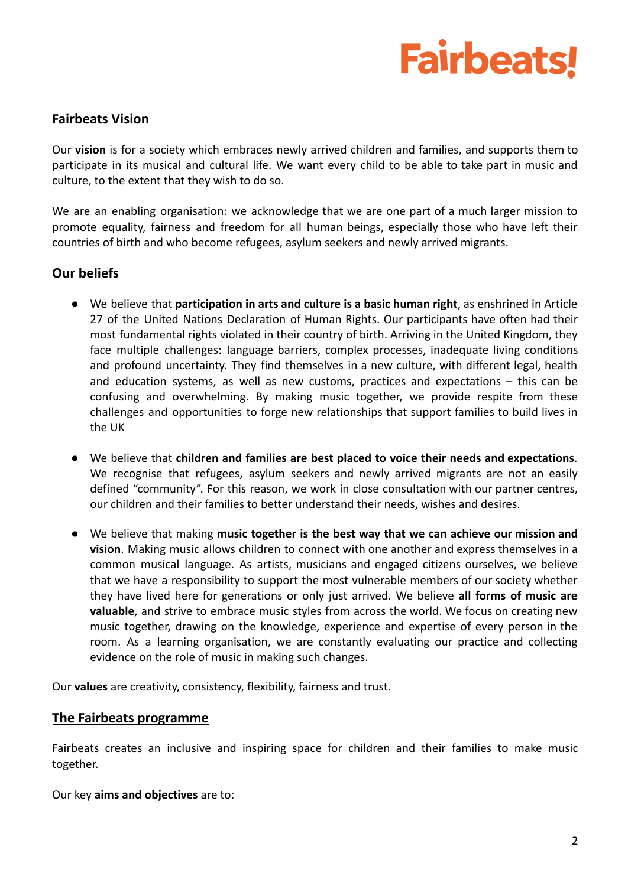# **Fairbeats!**

#### **Fairbeats Vision**

Our **vision** is for a society which embraces newly arrived children and families, and supports them to participate in its musical and cultural life. We want every child to be able to take part in music and culture, to the extent that they wish to do so.

We are an enabling organisation: we acknowledge that we are one part of a much larger mission to promote equality, fairness and freedom for all human beings, especially those who have left their countries of birth and who become refugees, asylum seekers and newly arrived migrants.

#### **Our beliefs**

- We believe that **participation in arts and culture is a basic human right**, as enshrined in Article 27 of the United Nations Declaration of Human Rights. Our participants have often had their most fundamental rights violated in their country of birth. Arriving in the United Kingdom, they face multiple challenges: language barriers, complex processes, inadequate living conditions and profound uncertainty. They find themselves in a new culture, with different legal, health and education systems, as well as new customs, practices and expectations – this can be confusing and overwhelming. By making music together, we provide respite from these challenges and opportunities to forge new relationships that support families to build lives in the UK
- We believe that **children and families are best placed to voice their needs and expectations**. We recognise that refugees, asylum seekers and newly arrived migrants are not an easily defined "community". For this reason, we work in close consultation with our partner centres, our children and their families to better understand their needs, wishes and desires.
- We believe that making **music together is the best way that we can achieve our mission and vision**. Making music allows children to connect with one another and express themselves in a common musical language. As artists, musicians and engaged citizens ourselves, we believe that we have a responsibility to support the most vulnerable members of our society whether they have lived here for generations or only just arrived. We believe **all forms of music are valuable**, and strive to embrace music styles from across the world. We focus on creating new music together, drawing on the knowledge, experience and expertise of every person in the room. As a learning organisation, we are constantly evaluating our practice and collecting evidence on the role of music in making such changes.

Our **values** are creativity, consistency, flexibility, fairness and trust.

#### **The Fairbeats programme**

Fairbeats creates an inclusive and inspiring space for children and their families to make music together.

Our key **aims and objectives** are to: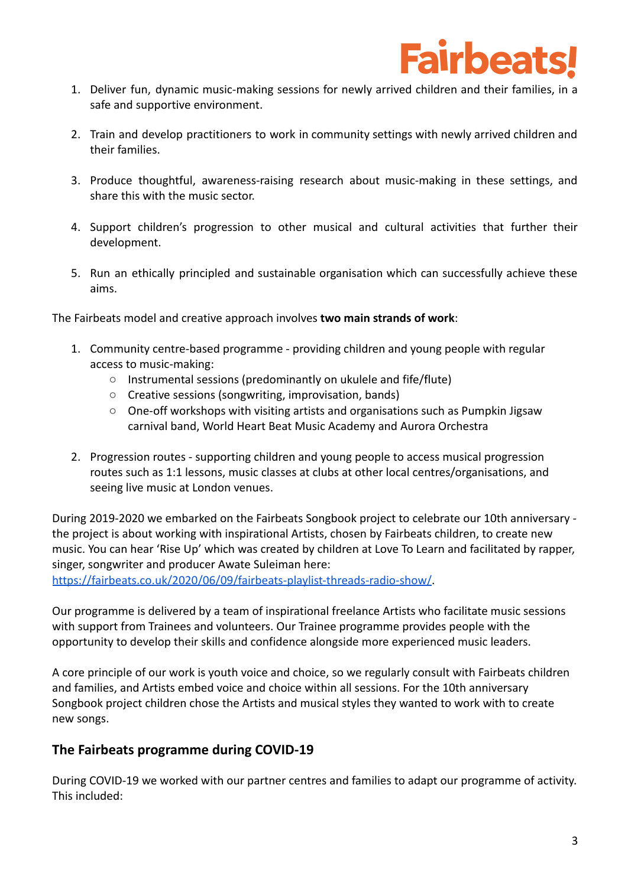

- 1. Deliver fun, dynamic music-making sessions for newly arrived children and their families, in a safe and supportive environment.
- 2. Train and develop practitioners to work in community settings with newly arrived children and their families.
- 3. Produce thoughtful, awareness-raising research about music-making in these settings, and share this with the music sector.
- 4. Support children's progression to other musical and cultural activities that further their development.
- 5. Run an ethically principled and sustainable organisation which can successfully achieve these aims.

The Fairbeats model and creative approach involves **two main strands of work**:

- 1. Community centre-based programme providing children and young people with regular access to music-making:
	- Instrumental sessions (predominantly on ukulele and fife/flute)
	- Creative sessions (songwriting, improvisation, bands)
	- $\circ$  One-off workshops with visiting artists and organisations such as Pumpkin Jigsaw carnival band, World Heart Beat Music Academy and Aurora Orchestra
- 2. Progression routes supporting children and young people to access musical progression routes such as 1:1 lessons, music classes at clubs at other local centres/organisations, and seeing live music at London venues.

During 2019-2020 we embarked on the Fairbeats Songbook project to celebrate our 10th anniversary the project is about working with inspirational Artists, chosen by Fairbeats children, to create new music. You can hear 'Rise Up' which was created by children at Love To Learn and facilitated by rapper, singer, songwriter and producer Awate Suleiman here:

[https://fairbeats.co.uk/2020/06/09/fairbeats-playlist-threads-radio-show/.](https://fairbeats.co.uk/2020/06/09/fairbeats-playlist-threads-radio-show/)

Our programme is delivered by a team of inspirational freelance Artists who facilitate music sessions with support from Trainees and volunteers. Our Trainee programme provides people with the opportunity to develop their skills and confidence alongside more experienced music leaders.

A core principle of our work is youth voice and choice, so we regularly consult with Fairbeats children and families, and Artists embed voice and choice within all sessions. For the 10th anniversary Songbook project children chose the Artists and musical styles they wanted to work with to create new songs.

#### **The Fairbeats programme during COVID-19**

During COVID-19 we worked with our partner centres and families to adapt our programme of activity. This included: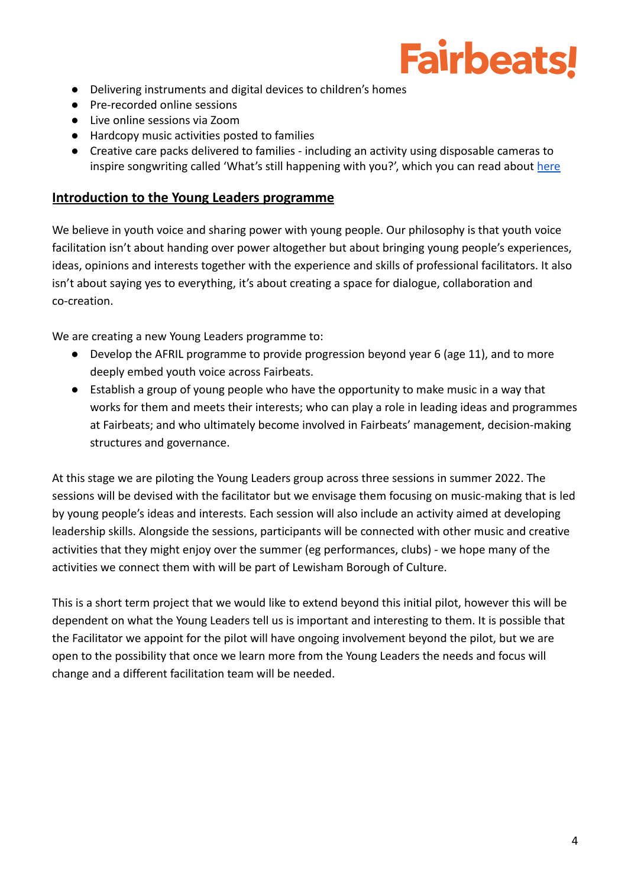# **Fairbeats!**

- Delivering instruments and digital devices to children's homes
- Pre-recorded online sessions
- Live online sessions via Zoom
- Hardcopy music activities posted to families
- Creative care packs delivered to families including an activity using disposable cameras to inspire songwriting called 'What's still happening with you?', which you can read about [here](https://fairbeats.co.uk/2020/07/27/whats-still-happening-with-you-catherine-carter/)

#### **Introduction to the Young Leaders programme**

We believe in youth voice and sharing power with young people. Our philosophy is that youth voice facilitation isn't about handing over power altogether but about bringing young people's experiences, ideas, opinions and interests together with the experience and skills of professional facilitators. It also isn't about saying yes to everything, it's about creating a space for dialogue, collaboration and co-creation.

We are creating a new Young Leaders programme to:

- Develop the AFRIL programme to provide progression beyond year 6 (age 11), and to more deeply embed youth voice across Fairbeats.
- Establish a group of young people who have the opportunity to make music in a way that works for them and meets their interests; who can play a role in leading ideas and programmes at Fairbeats; and who ultimately become involved in Fairbeats' management, decision-making structures and governance.

At this stage we are piloting the Young Leaders group across three sessions in summer 2022. The sessions will be devised with the facilitator but we envisage them focusing on music-making that is led by young people's ideas and interests. Each session will also include an activity aimed at developing leadership skills. Alongside the sessions, participants will be connected with other music and creative activities that they might enjoy over the summer (eg performances, clubs) - we hope many of the activities we connect them with will be part of Lewisham Borough of Culture.

This is a short term project that we would like to extend beyond this initial pilot, however this will be dependent on what the Young Leaders tell us is important and interesting to them. It is possible that the Facilitator we appoint for the pilot will have ongoing involvement beyond the pilot, but we are open to the possibility that once we learn more from the Young Leaders the needs and focus will change and a different facilitation team will be needed.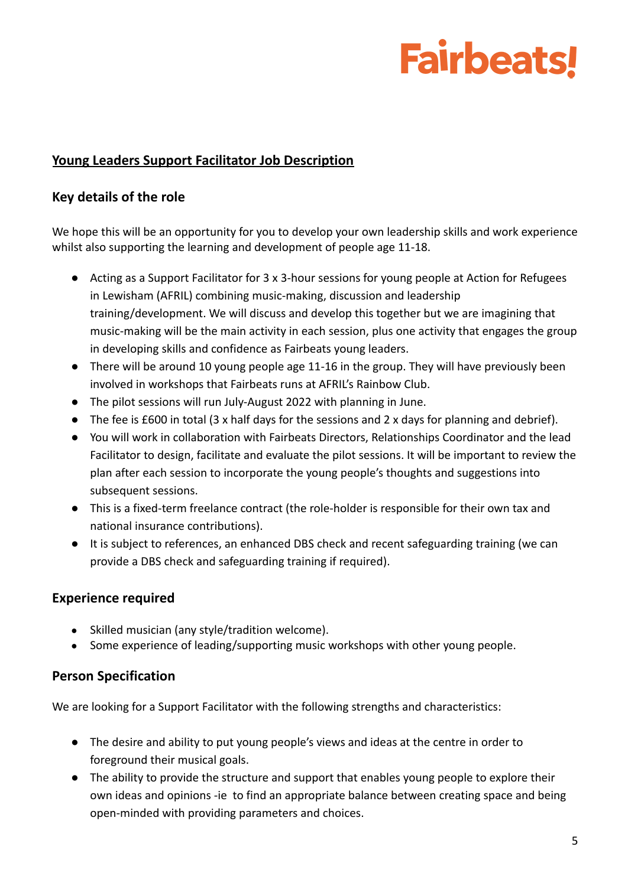# **Fairbeats!**

## **Young Leaders Support Facilitator Job Description**

### **Key details of the role**

We hope this will be an opportunity for you to develop your own leadership skills and work experience whilst also supporting the learning and development of people age 11-18.

- Acting as a Support Facilitator for 3 x 3-hour sessions for young people at Action for Refugees in Lewisham (AFRIL) combining music-making, discussion and leadership training/development. We will discuss and develop this together but we are imagining that music-making will be the main activity in each session, plus one activity that engages the group in developing skills and confidence as Fairbeats young leaders.
- There will be around 10 young people age 11-16 in the group. They will have previously been involved in workshops that Fairbeats runs at AFRIL's Rainbow Club.
- The pilot sessions will run July-August 2022 with planning in June.
- The fee is £600 in total (3 x half days for the sessions and 2 x days for planning and debrief).
- You will work in collaboration with Fairbeats Directors, Relationships Coordinator and the lead Facilitator to design, facilitate and evaluate the pilot sessions. It will be important to review the plan after each session to incorporate the young people's thoughts and suggestions into subsequent sessions.
- This is a fixed-term freelance contract (the role-holder is responsible for their own tax and national insurance contributions).
- It is subject to references, an enhanced DBS check and recent safeguarding training (we can provide a DBS check and safeguarding training if required).

### **Experience required**

- Skilled musician (any style/tradition welcome).
- Some experience of leading/supporting music workshops with other young people.

## **Person Specification**

We are looking for a Support Facilitator with the following strengths and characteristics:

- The desire and ability to put young people's views and ideas at the centre in order to foreground their musical goals.
- The ability to provide the structure and support that enables young people to explore their own ideas and opinions -ie to find an appropriate balance between creating space and being open-minded with providing parameters and choices.